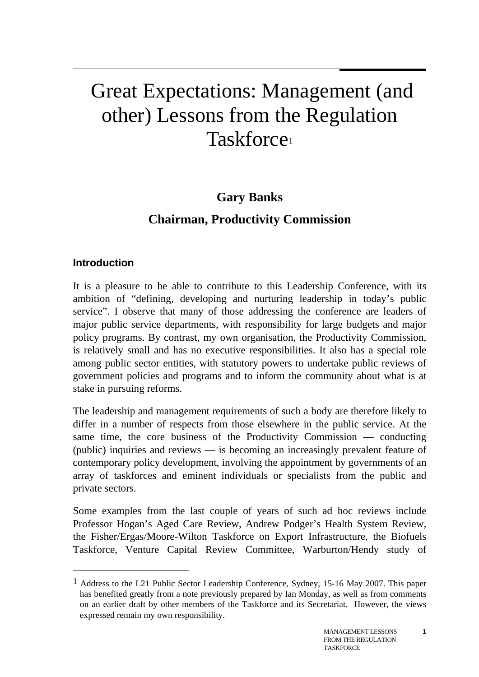# Great Expectations: Management (and other) Lessons from the Regulation Taskforce1

## **Gary Banks**

# **Chairman, Productivity Commission**

## **Introduction**

 $\overline{a}$ 

It is a pleasure to be able to contribute to this Leadership Conference, with its ambition of "defining, developing and nurturing leadership in today's public service". I observe that many of those addressing the conference are leaders of major public service departments, with responsibility for large budgets and major policy programs. By contrast, my own organisation, the Productivity Commission, is relatively small and has no executive responsibilities. It also has a special role among public sector entities, with statutory powers to undertake public reviews of government policies and programs and to inform the community about what is at stake in pursuing reforms.

The leadership and management requirements of such a body are therefore likely to differ in a number of respects from those elsewhere in the public service. At the same time, the core business of the Productivity Commission — conducting (public) inquiries and reviews — is becoming an increasingly prevalent feature of contemporary policy development, involving the appointment by governments of an array of taskforces and eminent individuals or specialists from the public and private sectors.

Some examples from the last couple of years of such ad hoc reviews include Professor Hogan's Aged Care Review, Andrew Podger's Health System Review, the Fisher/Ergas/Moore-Wilton Taskforce on Export Infrastructure, the Biofuels Taskforce, Venture Capital Review Committee, Warburton/Hendy study of

**1**

<sup>1</sup> Address to the L21 Public Sector Leadership Conference, Sydney, 15-16 May 2007. This paper has benefited greatly from a note previously prepared by Ian Monday, as well as from comments on an earlier draft by other members of the Taskforce and its Secretariat. However, the views expressed remain my own responsibility.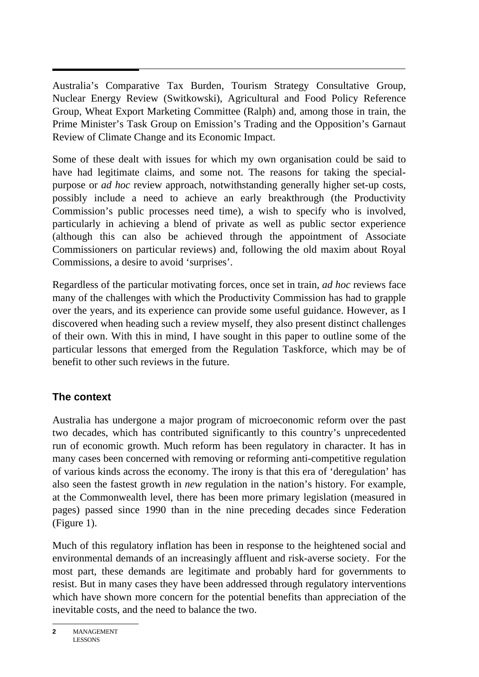Australia's Comparative Tax Burden, Tourism Strategy Consultative Group, Nuclear Energy Review (Switkowski), Agricultural and Food Policy Reference Group, Wheat Export Marketing Committee (Ralph) and, among those in train, the Prime Minister's Task Group on Emission's Trading and the Opposition's Garnaut Review of Climate Change and its Economic Impact.

Some of these dealt with issues for which my own organisation could be said to have had legitimate claims, and some not. The reasons for taking the specialpurpose or *ad hoc* review approach, notwithstanding generally higher set-up costs, possibly include a need to achieve an early breakthrough (the Productivity Commission's public processes need time), a wish to specify who is involved, particularly in achieving a blend of private as well as public sector experience (although this can also be achieved through the appointment of Associate Commissioners on particular reviews) and, following the old maxim about Royal Commissions, a desire to avoid 'surprises'.

Regardless of the particular motivating forces, once set in train, *ad hoc* reviews face many of the challenges with which the Productivity Commission has had to grapple over the years, and its experience can provide some useful guidance. However, as I discovered when heading such a review myself, they also present distinct challenges of their own. With this in mind, I have sought in this paper to outline some of the particular lessons that emerged from the Regulation Taskforce, which may be of benefit to other such reviews in the future.

## **The context**

Australia has undergone a major program of microeconomic reform over the past two decades, which has contributed significantly to this country's unprecedented run of economic growth. Much reform has been regulatory in character. It has in many cases been concerned with removing or reforming anti-competitive regulation of various kinds across the economy. The irony is that this era of 'deregulation' has also seen the fastest growth in *new* regulation in the nation's history. For example, at the Commonwealth level, there has been more primary legislation (measured in pages) passed since 1990 than in the nine preceding decades since Federation (Figure 1).

Much of this regulatory inflation has been in response to the heightened social and environmental demands of an increasingly affluent and risk-averse society. For the most part, these demands are legitimate and probably hard for governments to resist. But in many cases they have been addressed through regulatory interventions which have shown more concern for the potential benefits than appreciation of the inevitable costs, and the need to balance the two.

**<sup>2</sup>** MANAGEMENT LESSONS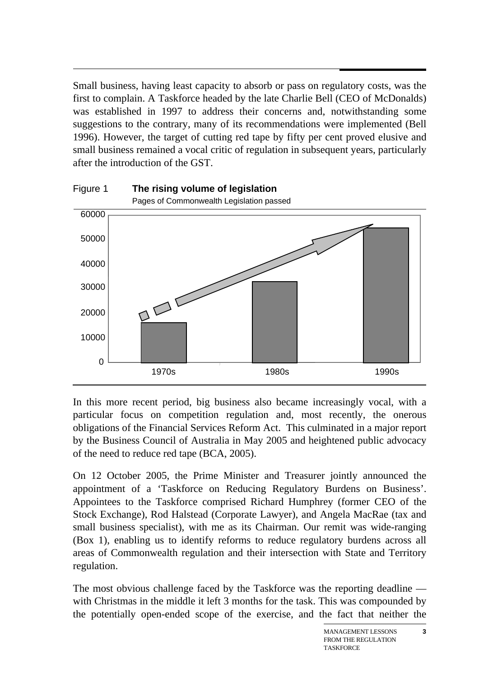$\overline{a}$ Small business, having least capacity to absorb or pass on regulatory costs, was the first to complain. A Taskforce headed by the late Charlie Bell (CEO of McDonalds) was established in 1997 to address their concerns and, notwithstanding some suggestions to the contrary, many of its recommendations were implemented (Bell 1996). However, the target of cutting red tape by fifty per cent proved elusive and small business remained a vocal critic of regulation in subsequent years, particularly after the introduction of the GST.



In this more recent period, big business also became increasingly vocal, with a particular focus on competition regulation and, most recently, the onerous obligations of the Financial Services Reform Act. This culminated in a major report by the Business Council of Australia in May 2005 and heightened public advocacy of the need to reduce red tape (BCA, 2005).

On 12 October 2005, the Prime Minister and Treasurer jointly announced the appointment of a 'Taskforce on Reducing Regulatory Burdens on Business'. Appointees to the Taskforce comprised Richard Humphrey (former CEO of the Stock Exchange), Rod Halstead (Corporate Lawyer), and Angela MacRae (tax and small business specialist), with me as its Chairman. Our remit was wide-ranging (Box 1), enabling us to identify reforms to reduce regulatory burdens across all areas of Commonwealth regulation and their intersection with State and Territory regulation.

The most obvious challenge faced by the Taskforce was the reporting deadline with Christmas in the middle it left 3 months for the task. This was compounded by the potentially open-ended scope of the exercise, and the fact that neither the

**3**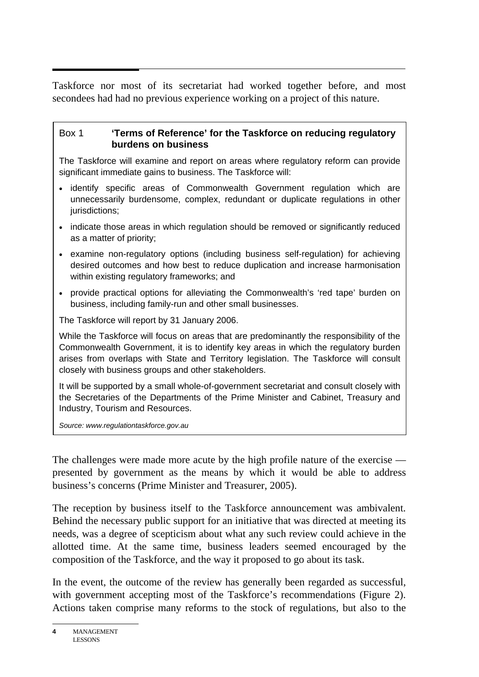$\overline{a}$ Taskforce nor most of its secretariat had worked together before, and most secondees had had no previous experience working on a project of this nature.

#### Box 1 **'Terms of Reference' for the Taskforce on reducing regulatory burdens on business**

The Taskforce will examine and report on areas where regulatory reform can provide significant immediate gains to business. The Taskforce will:

- identify specific areas of Commonwealth Government regulation which are unnecessarily burdensome, complex, redundant or duplicate regulations in other jurisdictions;
- indicate those areas in which regulation should be removed or significantly reduced as a matter of priority;
- examine non-regulatory options (including business self-regulation) for achieving desired outcomes and how best to reduce duplication and increase harmonisation within existing regulatory frameworks; and
- provide practical options for alleviating the Commonwealth's 'red tape' burden on business, including family-run and other small businesses.

The Taskforce will report by 31 January 2006.

While the Taskforce will focus on areas that are predominantly the responsibility of the Commonwealth Government, it is to identify key areas in which the regulatory burden arises from overlaps with State and Territory legislation. The Taskforce will consult closely with business groups and other stakeholders.

It will be supported by a small whole-of-government secretariat and consult closely with the Secretaries of the Departments of the Prime Minister and Cabinet, Treasury and Industry, Tourism and Resources.

*Source: www.regulationtaskforce.gov.au*

The challenges were made more acute by the high profile nature of the exercise presented by government as the means by which it would be able to address business's concerns (Prime Minister and Treasurer, 2005).

The reception by business itself to the Taskforce announcement was ambivalent. Behind the necessary public support for an initiative that was directed at meeting its needs, was a degree of scepticism about what any such review could achieve in the allotted time. At the same time, business leaders seemed encouraged by the composition of the Taskforce, and the way it proposed to go about its task.

In the event, the outcome of the review has generally been regarded as successful, with government accepting most of the Taskforce's recommendations (Figure 2). Actions taken comprise many reforms to the stock of regulations, but also to the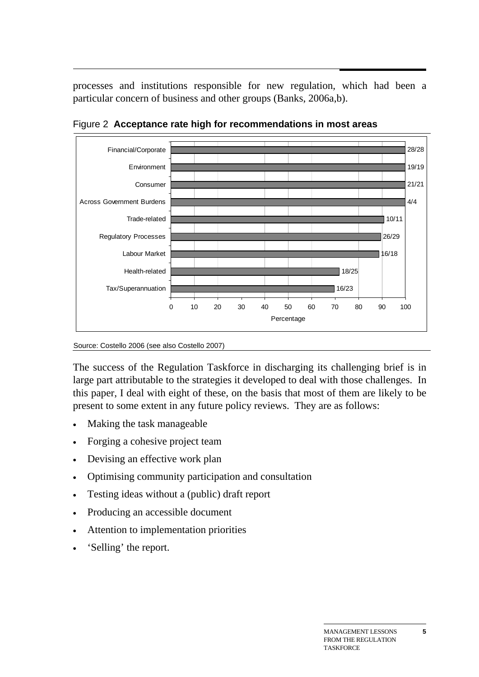processes and institutions responsible for new regulation, which had been a particular concern of business and other groups (Banks, 2006a,b).



Figure 2 **Acceptance rate high for recommendations in most areas** 

Source: Costello 2006 (see also Costello 2007)

The success of the Regulation Taskforce in discharging its challenging brief is in large part attributable to the strategies it developed to deal with those challenges. In this paper, I deal with eight of these, on the basis that most of them are likely to be present to some extent in any future policy reviews. They are as follows:

- Making the task manageable
- Forging a cohesive project team
- Devising an effective work plan
- Optimising community participation and consultation
- Testing ideas without a (public) draft report
- Producing an accessible document
- Attention to implementation priorities
- 'Selling' the report.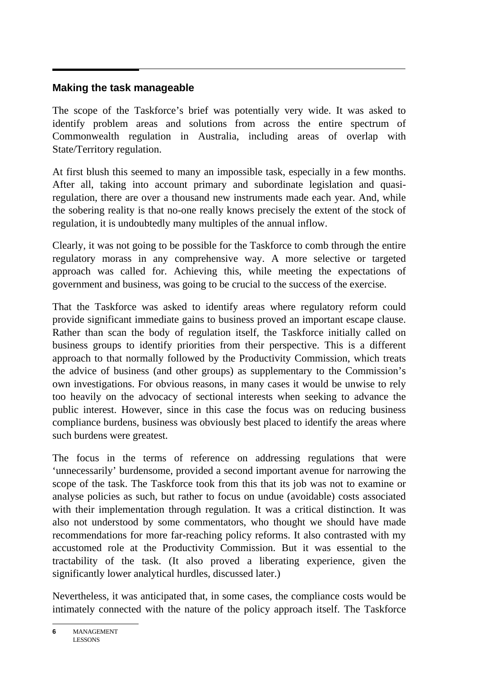## **Making the task manageable**

The scope of the Taskforce's brief was potentially very wide. It was asked to identify problem areas and solutions from across the entire spectrum of Commonwealth regulation in Australia, including areas of overlap with State/Territory regulation.

At first blush this seemed to many an impossible task, especially in a few months. After all, taking into account primary and subordinate legislation and quasiregulation, there are over a thousand new instruments made each year. And, while the sobering reality is that no-one really knows precisely the extent of the stock of regulation, it is undoubtedly many multiples of the annual inflow.

Clearly, it was not going to be possible for the Taskforce to comb through the entire regulatory morass in any comprehensive way. A more selective or targeted approach was called for. Achieving this, while meeting the expectations of government and business, was going to be crucial to the success of the exercise.

That the Taskforce was asked to identify areas where regulatory reform could provide significant immediate gains to business proved an important escape clause. Rather than scan the body of regulation itself, the Taskforce initially called on business groups to identify priorities from their perspective. This is a different approach to that normally followed by the Productivity Commission, which treats the advice of business (and other groups) as supplementary to the Commission's own investigations. For obvious reasons, in many cases it would be unwise to rely too heavily on the advocacy of sectional interests when seeking to advance the public interest. However, since in this case the focus was on reducing business compliance burdens, business was obviously best placed to identify the areas where such burdens were greatest.

The focus in the terms of reference on addressing regulations that were 'unnecessarily' burdensome, provided a second important avenue for narrowing the scope of the task. The Taskforce took from this that its job was not to examine or analyse policies as such, but rather to focus on undue (avoidable) costs associated with their implementation through regulation. It was a critical distinction. It was also not understood by some commentators, who thought we should have made recommendations for more far-reaching policy reforms. It also contrasted with my accustomed role at the Productivity Commission. But it was essential to the tractability of the task. (It also proved a liberating experience, given the significantly lower analytical hurdles, discussed later.)

Nevertheless, it was anticipated that, in some cases, the compliance costs would be intimately connected with the nature of the policy approach itself. The Taskforce

**<sup>6</sup>** MANAGEMENT LESSONS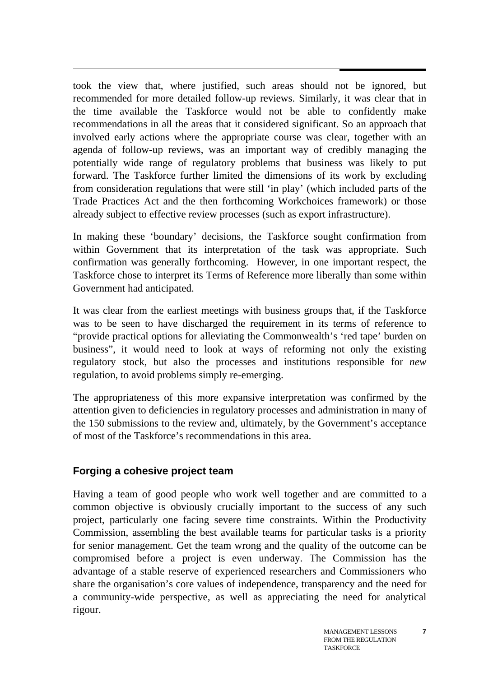took the view that, where justified, such areas should not be ignored, but recommended for more detailed follow-up reviews. Similarly, it was clear that in the time available the Taskforce would not be able to confidently make recommendations in all the areas that it considered significant. So an approach that involved early actions where the appropriate course was clear, together with an agenda of follow-up reviews, was an important way of credibly managing the potentially wide range of regulatory problems that business was likely to put forward. The Taskforce further limited the dimensions of its work by excluding from consideration regulations that were still 'in play' (which included parts of the Trade Practices Act and the then forthcoming Workchoices framework) or those already subject to effective review processes (such as export infrastructure).

In making these 'boundary' decisions, the Taskforce sought confirmation from within Government that its interpretation of the task was appropriate. Such confirmation was generally forthcoming. However, in one important respect, the Taskforce chose to interpret its Terms of Reference more liberally than some within Government had anticipated.

It was clear from the earliest meetings with business groups that, if the Taskforce was to be seen to have discharged the requirement in its terms of reference to "provide practical options for alleviating the Commonwealth's 'red tape' burden on business", it would need to look at ways of reforming not only the existing regulatory stock, but also the processes and institutions responsible for *new*  regulation, to avoid problems simply re-emerging.

The appropriateness of this more expansive interpretation was confirmed by the attention given to deficiencies in regulatory processes and administration in many of the 150 submissions to the review and, ultimately, by the Government's acceptance of most of the Taskforce's recommendations in this area.

## **Forging a cohesive project team**

Having a team of good people who work well together and are committed to a common objective is obviously crucially important to the success of any such project, particularly one facing severe time constraints. Within the Productivity Commission, assembling the best available teams for particular tasks is a priority for senior management. Get the team wrong and the quality of the outcome can be compromised before a project is even underway. The Commission has the advantage of a stable reserve of experienced researchers and Commissioners who share the organisation's core values of independence, transparency and the need for a community-wide perspective, as well as appreciating the need for analytical rigour.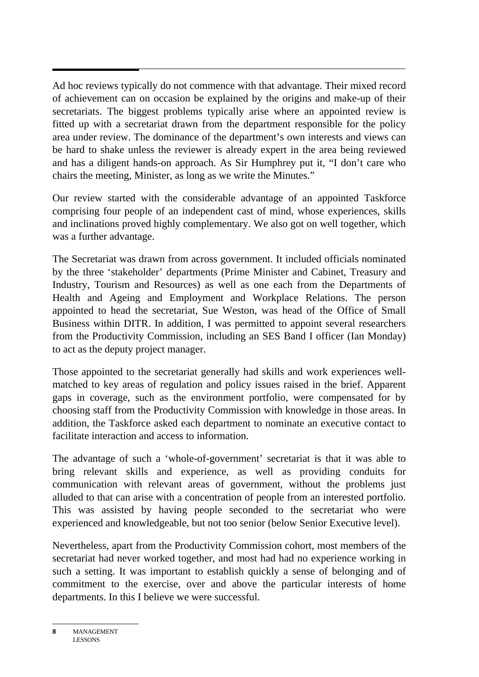Ad hoc reviews typically do not commence with that advantage. Their mixed record of achievement can on occasion be explained by the origins and make-up of their secretariats. The biggest problems typically arise where an appointed review is fitted up with a secretariat drawn from the department responsible for the policy area under review. The dominance of the department's own interests and views can be hard to shake unless the reviewer is already expert in the area being reviewed and has a diligent hands-on approach. As Sir Humphrey put it, "I don't care who chairs the meeting, Minister, as long as we write the Minutes."

Our review started with the considerable advantage of an appointed Taskforce comprising four people of an independent cast of mind, whose experiences, skills and inclinations proved highly complementary. We also got on well together, which was a further advantage.

The Secretariat was drawn from across government. It included officials nominated by the three 'stakeholder' departments (Prime Minister and Cabinet, Treasury and Industry, Tourism and Resources) as well as one each from the Departments of Health and Ageing and Employment and Workplace Relations. The person appointed to head the secretariat, Sue Weston, was head of the Office of Small Business within DITR. In addition, I was permitted to appoint several researchers from the Productivity Commission, including an SES Band I officer (Ian Monday) to act as the deputy project manager.

Those appointed to the secretariat generally had skills and work experiences wellmatched to key areas of regulation and policy issues raised in the brief. Apparent gaps in coverage, such as the environment portfolio, were compensated for by choosing staff from the Productivity Commission with knowledge in those areas. In addition, the Taskforce asked each department to nominate an executive contact to facilitate interaction and access to information.

The advantage of such a 'whole-of-government' secretariat is that it was able to bring relevant skills and experience, as well as providing conduits for communication with relevant areas of government, without the problems just alluded to that can arise with a concentration of people from an interested portfolio. This was assisted by having people seconded to the secretariat who were experienced and knowledgeable, but not too senior (below Senior Executive level).

Nevertheless, apart from the Productivity Commission cohort, most members of the secretariat had never worked together, and most had had no experience working in such a setting. It was important to establish quickly a sense of belonging and of commitment to the exercise, over and above the particular interests of home departments. In this I believe we were successful.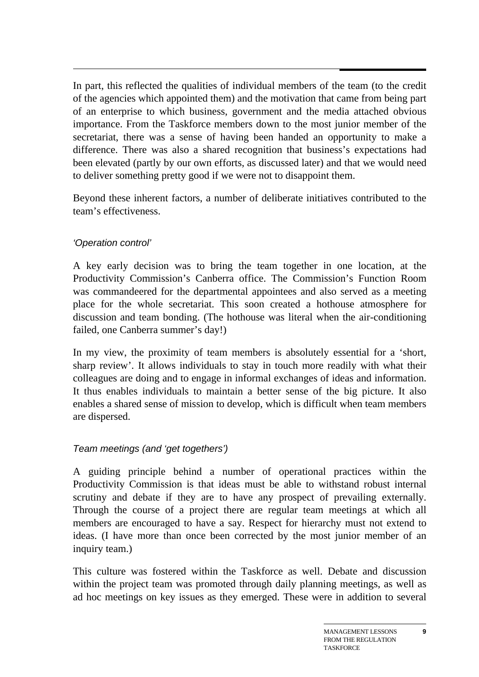$\overline{a}$ In part, this reflected the qualities of individual members of the team (to the credit of the agencies which appointed them) and the motivation that came from being part of an enterprise to which business, government and the media attached obvious importance. From the Taskforce members down to the most junior member of the secretariat, there was a sense of having been handed an opportunity to make a difference. There was also a shared recognition that business's expectations had been elevated (partly by our own efforts, as discussed later) and that we would need to deliver something pretty good if we were not to disappoint them.

Beyond these inherent factors, a number of deliberate initiatives contributed to the team's effectiveness.

## *'Operation control'*

A key early decision was to bring the team together in one location, at the Productivity Commission's Canberra office. The Commission's Function Room was commandeered for the departmental appointees and also served as a meeting place for the whole secretariat. This soon created a hothouse atmosphere for discussion and team bonding. (The hothouse was literal when the air-conditioning failed, one Canberra summer's day!)

In my view, the proximity of team members is absolutely essential for a 'short, sharp review'. It allows individuals to stay in touch more readily with what their colleagues are doing and to engage in informal exchanges of ideas and information. It thus enables individuals to maintain a better sense of the big picture. It also enables a shared sense of mission to develop, which is difficult when team members are dispersed.

## *Team meetings (and 'get togethers')*

A guiding principle behind a number of operational practices within the Productivity Commission is that ideas must be able to withstand robust internal scrutiny and debate if they are to have any prospect of prevailing externally. Through the course of a project there are regular team meetings at which all members are encouraged to have a say. Respect for hierarchy must not extend to ideas. (I have more than once been corrected by the most junior member of an inquiry team.)

This culture was fostered within the Taskforce as well. Debate and discussion within the project team was promoted through daily planning meetings, as well as ad hoc meetings on key issues as they emerged. These were in addition to several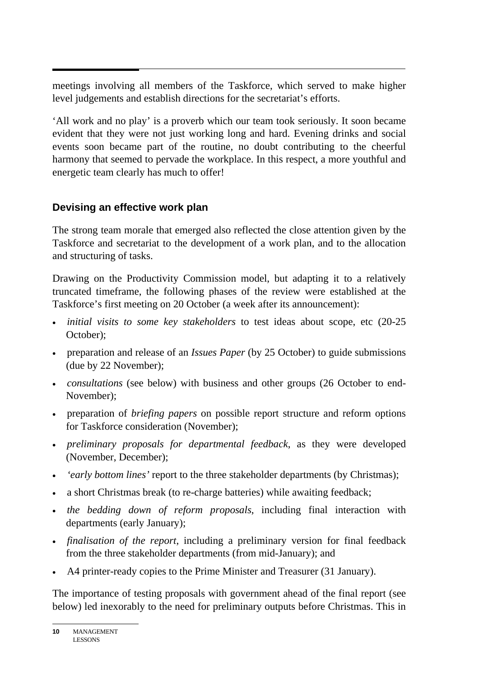meetings involving all members of the Taskforce, which served to make higher level judgements and establish directions for the secretariat's efforts.

'All work and no play' is a proverb which our team took seriously. It soon became evident that they were not just working long and hard. Evening drinks and social events soon became part of the routine, no doubt contributing to the cheerful harmony that seemed to pervade the workplace. In this respect, a more youthful and energetic team clearly has much to offer!

## **Devising an effective work plan**

The strong team morale that emerged also reflected the close attention given by the Taskforce and secretariat to the development of a work plan, and to the allocation and structuring of tasks.

Drawing on the Productivity Commission model, but adapting it to a relatively truncated timeframe, the following phases of the review were established at the Taskforce's first meeting on 20 October (a week after its announcement):

- *initial visits to some key stakeholders* to test ideas about scope, etc (20-25 October);
- preparation and release of an *Issues Paper* (by 25 October) to guide submissions (due by 22 November);
- *consultations* (see below) with business and other groups (26 October to end-November);
- preparation of *briefing papers* on possible report structure and reform options for Taskforce consideration (November);
- *preliminary proposals for departmental feedback*, as they were developed (November, December);
- *'early bottom lines'* report to the three stakeholder departments (by Christmas);
- a short Christmas break (to re-charge batteries) while awaiting feedback;
- *the bedding down of reform proposals*, including final interaction with departments (early January);
- *finalisation of the report*, including a preliminary version for final feedback from the three stakeholder departments (from mid-January); and
- A4 printer-ready copies to the Prime Minister and Treasurer (31 January).

The importance of testing proposals with government ahead of the final report (see below) led inexorably to the need for preliminary outputs before Christmas. This in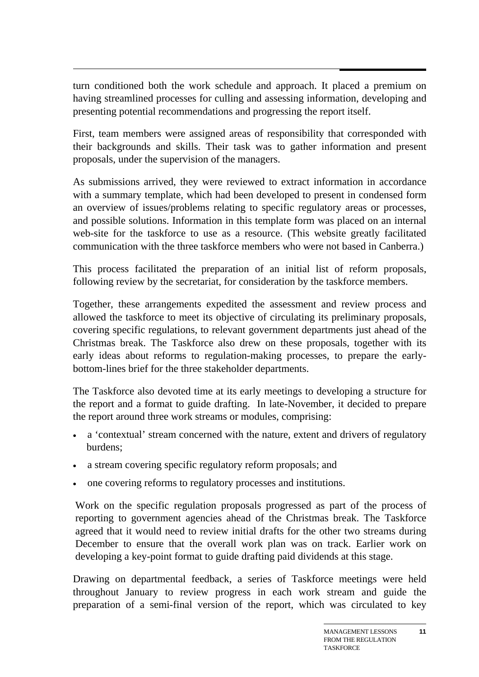turn conditioned both the work schedule and approach. It placed a premium on having streamlined processes for culling and assessing information, developing and presenting potential recommendations and progressing the report itself.

First, team members were assigned areas of responsibility that corresponded with their backgrounds and skills. Their task was to gather information and present proposals, under the supervision of the managers.

As submissions arrived, they were reviewed to extract information in accordance with a summary template, which had been developed to present in condensed form an overview of issues/problems relating to specific regulatory areas or processes, and possible solutions. Information in this template form was placed on an internal web-site for the taskforce to use as a resource. (This website greatly facilitated communication with the three taskforce members who were not based in Canberra.)

This process facilitated the preparation of an initial list of reform proposals, following review by the secretariat, for consideration by the taskforce members.

Together, these arrangements expedited the assessment and review process and allowed the taskforce to meet its objective of circulating its preliminary proposals, covering specific regulations, to relevant government departments just ahead of the Christmas break. The Taskforce also drew on these proposals, together with its early ideas about reforms to regulation-making processes, to prepare the earlybottom-lines brief for the three stakeholder departments.

The Taskforce also devoted time at its early meetings to developing a structure for the report and a format to guide drafting. In late-November, it decided to prepare the report around three work streams or modules, comprising:

- a 'contextual' stream concerned with the nature, extent and drivers of regulatory burdens;
- a stream covering specific regulatory reform proposals; and
- one covering reforms to regulatory processes and institutions.

Work on the specific regulation proposals progressed as part of the process of reporting to government agencies ahead of the Christmas break. The Taskforce agreed that it would need to review initial drafts for the other two streams during December to ensure that the overall work plan was on track. Earlier work on developing a key-point format to guide drafting paid dividends at this stage.

Drawing on departmental feedback, a series of Taskforce meetings were held throughout January to review progress in each work stream and guide the preparation of a semi-final version of the report, which was circulated to key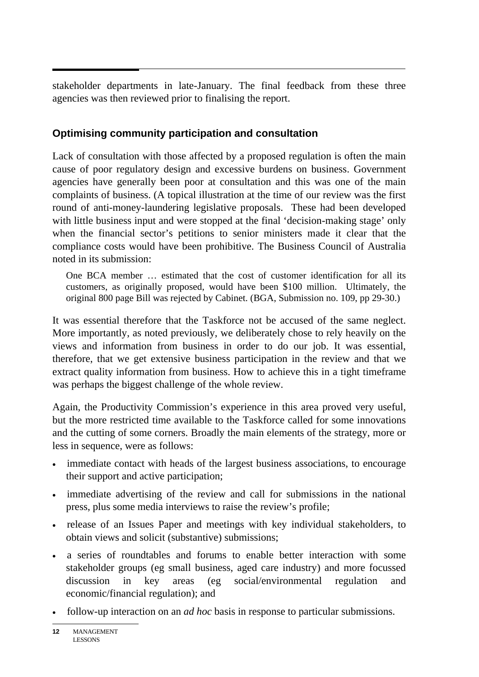stakeholder departments in late-January. The final feedback from these three agencies was then reviewed prior to finalising the report.

## **Optimising community participation and consultation**

Lack of consultation with those affected by a proposed regulation is often the main cause of poor regulatory design and excessive burdens on business. Government agencies have generally been poor at consultation and this was one of the main complaints of business. (A topical illustration at the time of our review was the first round of anti-money-laundering legislative proposals. These had been developed with little business input and were stopped at the final 'decision-making stage' only when the financial sector's petitions to senior ministers made it clear that the compliance costs would have been prohibitive. The Business Council of Australia noted in its submission:

One BCA member … estimated that the cost of customer identification for all its customers, as originally proposed, would have been \$100 million. Ultimately, the original 800 page Bill was rejected by Cabinet. (BGA, Submission no. 109, pp 29-30.)

It was essential therefore that the Taskforce not be accused of the same neglect. More importantly, as noted previously, we deliberately chose to rely heavily on the views and information from business in order to do our job. It was essential, therefore, that we get extensive business participation in the review and that we extract quality information from business. How to achieve this in a tight timeframe was perhaps the biggest challenge of the whole review.

Again, the Productivity Commission's experience in this area proved very useful, but the more restricted time available to the Taskforce called for some innovations and the cutting of some corners. Broadly the main elements of the strategy, more or less in sequence, were as follows:

- immediate contact with heads of the largest business associations, to encourage their support and active participation;
- immediate advertising of the review and call for submissions in the national press, plus some media interviews to raise the review's profile;
- release of an Issues Paper and meetings with key individual stakeholders, to obtain views and solicit (substantive) submissions;
- a series of roundtables and forums to enable better interaction with some stakeholder groups (eg small business, aged care industry) and more focussed discussion in key areas (eg social/environmental regulation and economic/financial regulation); and
- follow-up interaction on an *ad hoc* basis in response to particular submissions.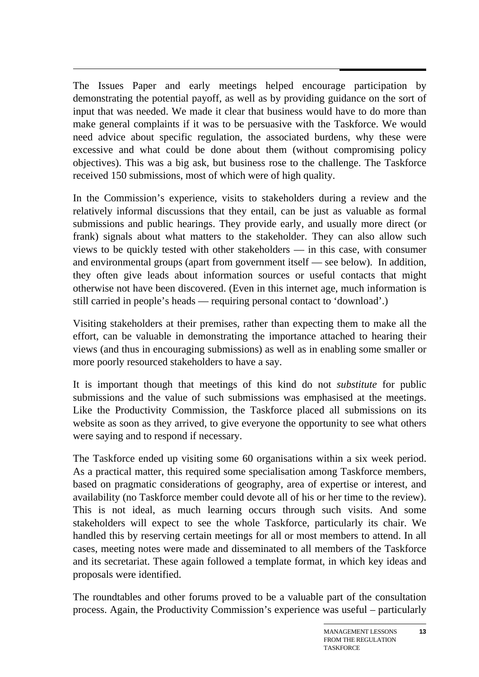$\overline{a}$ The Issues Paper and early meetings helped encourage participation by demonstrating the potential payoff, as well as by providing guidance on the sort of input that was needed. We made it clear that business would have to do more than make general complaints if it was to be persuasive with the Taskforce. We would need advice about specific regulation, the associated burdens, why these were excessive and what could be done about them (without compromising policy objectives). This was a big ask, but business rose to the challenge. The Taskforce received 150 submissions, most of which were of high quality.

In the Commission's experience, visits to stakeholders during a review and the relatively informal discussions that they entail, can be just as valuable as formal submissions and public hearings. They provide early, and usually more direct (or frank) signals about what matters to the stakeholder. They can also allow such views to be quickly tested with other stakeholders — in this case, with consumer and environmental groups (apart from government itself — see below). In addition, they often give leads about information sources or useful contacts that might otherwise not have been discovered. (Even in this internet age, much information is still carried in people's heads — requiring personal contact to 'download'.)

Visiting stakeholders at their premises, rather than expecting them to make all the effort, can be valuable in demonstrating the importance attached to hearing their views (and thus in encouraging submissions) as well as in enabling some smaller or more poorly resourced stakeholders to have a say.

It is important though that meetings of this kind do not *substitute* for public submissions and the value of such submissions was emphasised at the meetings. Like the Productivity Commission, the Taskforce placed all submissions on its website as soon as they arrived, to give everyone the opportunity to see what others were saying and to respond if necessary.

The Taskforce ended up visiting some 60 organisations within a six week period. As a practical matter, this required some specialisation among Taskforce members, based on pragmatic considerations of geography, area of expertise or interest, and availability (no Taskforce member could devote all of his or her time to the review). This is not ideal, as much learning occurs through such visits. And some stakeholders will expect to see the whole Taskforce, particularly its chair. We handled this by reserving certain meetings for all or most members to attend. In all cases, meeting notes were made and disseminated to all members of the Taskforce and its secretariat. These again followed a template format, in which key ideas and proposals were identified.

The roundtables and other forums proved to be a valuable part of the consultation process. Again, the Productivity Commission's experience was useful – particularly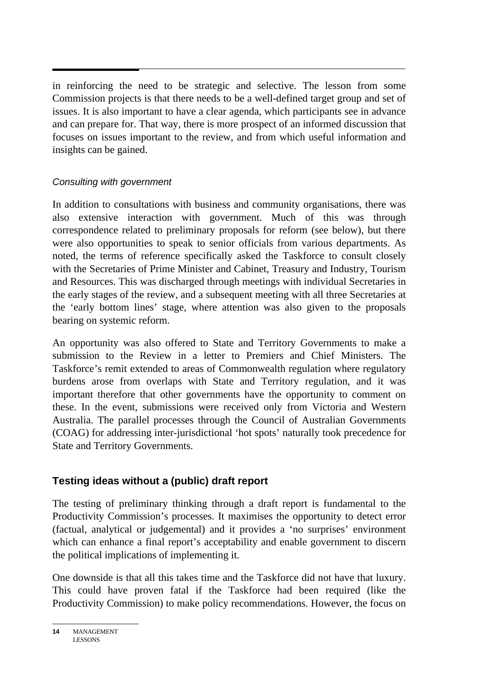$\overline{a}$ in reinforcing the need to be strategic and selective. The lesson from some Commission projects is that there needs to be a well-defined target group and set of issues. It is also important to have a clear agenda, which participants see in advance and can prepare for. That way, there is more prospect of an informed discussion that focuses on issues important to the review, and from which useful information and insights can be gained.

## *Consulting with government*

In addition to consultations with business and community organisations, there was also extensive interaction with government. Much of this was through correspondence related to preliminary proposals for reform (see below), but there were also opportunities to speak to senior officials from various departments. As noted, the terms of reference specifically asked the Taskforce to consult closely with the Secretaries of Prime Minister and Cabinet, Treasury and Industry, Tourism and Resources. This was discharged through meetings with individual Secretaries in the early stages of the review, and a subsequent meeting with all three Secretaries at the 'early bottom lines' stage, where attention was also given to the proposals bearing on systemic reform.

An opportunity was also offered to State and Territory Governments to make a submission to the Review in a letter to Premiers and Chief Ministers. The Taskforce's remit extended to areas of Commonwealth regulation where regulatory burdens arose from overlaps with State and Territory regulation, and it was important therefore that other governments have the opportunity to comment on these. In the event, submissions were received only from Victoria and Western Australia. The parallel processes through the Council of Australian Governments (COAG) for addressing inter-jurisdictional 'hot spots' naturally took precedence for State and Territory Governments.

## **Testing ideas without a (public) draft report**

The testing of preliminary thinking through a draft report is fundamental to the Productivity Commission's processes. It maximises the opportunity to detect error (factual, analytical or judgemental) and it provides a 'no surprises' environment which can enhance a final report's acceptability and enable government to discern the political implications of implementing it.

One downside is that all this takes time and the Taskforce did not have that luxury. This could have proven fatal if the Taskforce had been required (like the Productivity Commission) to make policy recommendations. However, the focus on

**<sup>14</sup>** MANAGEMENT LESSONS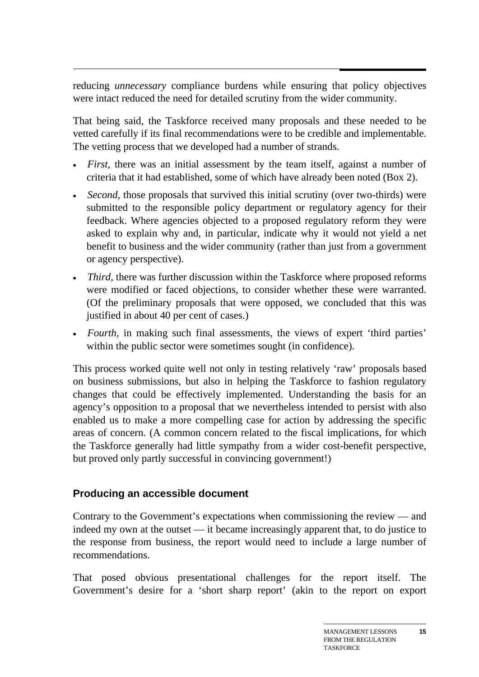reducing *unnecessary* compliance burdens while ensuring that policy objectives were intact reduced the need for detailed scrutiny from the wider community.

That being said, the Taskforce received many proposals and these needed to be vetted carefully if its final recommendations were to be credible and implementable. The vetting process that we developed had a number of strands.

- *First*, there was an initial assessment by the team itself, against a number of criteria that it had established, some of which have already been noted (Box 2).
- *Second*, those proposals that survived this initial scrutiny (over two-thirds) were submitted to the responsible policy department or regulatory agency for their feedback. Where agencies objected to a proposed regulatory reform they were asked to explain why and, in particular, indicate why it would not yield a net benefit to business and the wider community (rather than just from a government or agency perspective).
- *Third*, there was further discussion within the Taskforce where proposed reforms were modified or faced objections, to consider whether these were warranted. (Of the preliminary proposals that were opposed, we concluded that this was justified in about 40 per cent of cases.)
- *Fourth*, in making such final assessments, the views of expert 'third parties' within the public sector were sometimes sought (in confidence).

This process worked quite well not only in testing relatively 'raw' proposals based on business submissions, but also in helping the Taskforce to fashion regulatory changes that could be effectively implemented. Understanding the basis for an agency's opposition to a proposal that we nevertheless intended to persist with also enabled us to make a more compelling case for action by addressing the specific areas of concern. (A common concern related to the fiscal implications, for which the Taskforce generally had little sympathy from a wider cost-benefit perspective, but proved only partly successful in convincing government!)

## **Producing an accessible document**

Contrary to the Government's expectations when commissioning the review — and indeed my own at the outset — it became increasingly apparent that, to do justice to the response from business, the report would need to include a large number of recommendations.

That posed obvious presentational challenges for the report itself. The Government's desire for a 'short sharp report' (akin to the report on export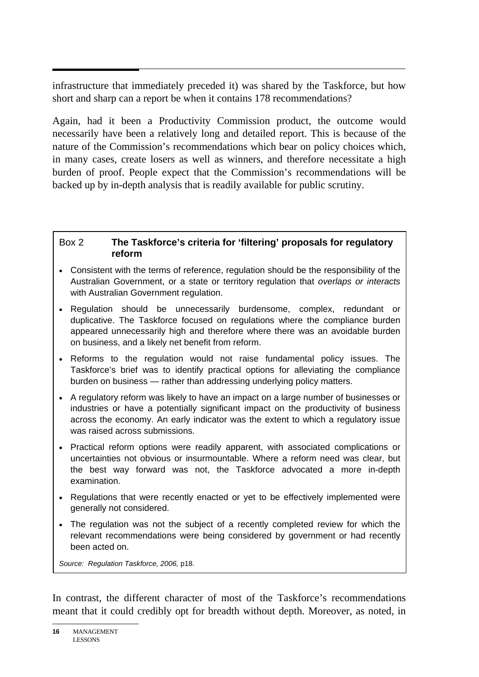$\overline{a}$ infrastructure that immediately preceded it) was shared by the Taskforce, but how short and sharp can a report be when it contains 178 recommendations?

Again, had it been a Productivity Commission product, the outcome would necessarily have been a relatively long and detailed report. This is because of the nature of the Commission's recommendations which bear on policy choices which, in many cases, create losers as well as winners, and therefore necessitate a high burden of proof. People expect that the Commission's recommendations will be backed up by in-depth analysis that is readily available for public scrutiny.

#### Box 2 **The Taskforce's criteria for 'filtering' proposals for regulatory reform**

- Consistent with the terms of reference, regulation should be the responsibility of the Australian Government, or a state or territory regulation that *overlaps or interacts* with Australian Government regulation.
- Regulation should be unnecessarily burdensome, complex, redundant or duplicative. The Taskforce focused on regulations where the compliance burden appeared unnecessarily high and therefore where there was an avoidable burden on business, and a likely net benefit from reform.
- Reforms to the regulation would not raise fundamental policy issues. The Taskforce's brief was to identify practical options for alleviating the compliance burden on business — rather than addressing underlying policy matters.
- A regulatory reform was likely to have an impact on a large number of businesses or industries or have a potentially significant impact on the productivity of business across the economy. An early indicator was the extent to which a regulatory issue was raised across submissions.
- Practical reform options were readily apparent, with associated complications or uncertainties not obvious or insurmountable. Where a reform need was clear, but the best way forward was not, the Taskforce advocated a more in-depth examination.
- Regulations that were recently enacted or yet to be effectively implemented were generally not considered.
- The regulation was not the subject of a recently completed review for which the relevant recommendations were being considered by government or had recently been acted on.

*Source: Regulation Taskforce, 2006,* p18.

In contrast, the different character of most of the Taskforce's recommendations meant that it could credibly opt for breadth without depth. Moreover, as noted, in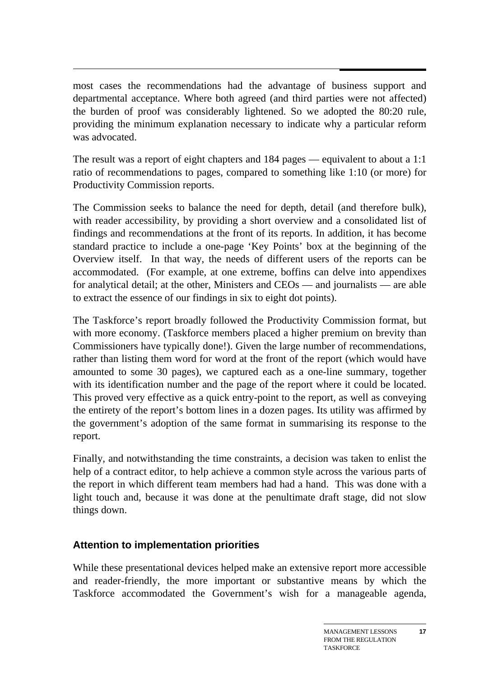most cases the recommendations had the advantage of business support and departmental acceptance. Where both agreed (and third parties were not affected) the burden of proof was considerably lightened. So we adopted the 80:20 rule, providing the minimum explanation necessary to indicate why a particular reform was advocated.

The result was a report of eight chapters and 184 pages — equivalent to about a 1:1 ratio of recommendations to pages, compared to something like 1:10 (or more) for Productivity Commission reports.

The Commission seeks to balance the need for depth, detail (and therefore bulk), with reader accessibility, by providing a short overview and a consolidated list of findings and recommendations at the front of its reports. In addition, it has become standard practice to include a one-page 'Key Points' box at the beginning of the Overview itself. In that way, the needs of different users of the reports can be accommodated. (For example, at one extreme, boffins can delve into appendixes for analytical detail; at the other, Ministers and CEOs — and journalists — are able to extract the essence of our findings in six to eight dot points).

The Taskforce's report broadly followed the Productivity Commission format, but with more economy. (Taskforce members placed a higher premium on brevity than Commissioners have typically done!). Given the large number of recommendations, rather than listing them word for word at the front of the report (which would have amounted to some 30 pages), we captured each as a one-line summary, together with its identification number and the page of the report where it could be located. This proved very effective as a quick entry-point to the report, as well as conveying the entirety of the report's bottom lines in a dozen pages. Its utility was affirmed by the government's adoption of the same format in summarising its response to the report.

Finally, and notwithstanding the time constraints, a decision was taken to enlist the help of a contract editor, to help achieve a common style across the various parts of the report in which different team members had had a hand. This was done with a light touch and, because it was done at the penultimate draft stage, did not slow things down.

## **Attention to implementation priorities**

While these presentational devices helped make an extensive report more accessible and reader-friendly, the more important or substantive means by which the Taskforce accommodated the Government's wish for a manageable agenda,

**17**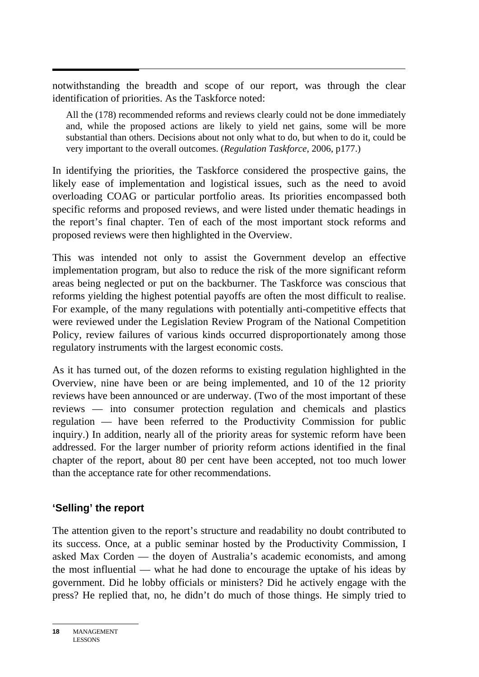notwithstanding the breadth and scope of our report, was through the clear identification of priorities. As the Taskforce noted:

All the (178) recommended reforms and reviews clearly could not be done immediately and, while the proposed actions are likely to yield net gains, some will be more substantial than others. Decisions about not only what to do, but when to do it, could be very important to the overall outcomes. (*Regulation Taskforce*, 2006, p177.)

In identifying the priorities, the Taskforce considered the prospective gains, the likely ease of implementation and logistical issues, such as the need to avoid overloading COAG or particular portfolio areas. Its priorities encompassed both specific reforms and proposed reviews, and were listed under thematic headings in the report's final chapter. Ten of each of the most important stock reforms and proposed reviews were then highlighted in the Overview.

This was intended not only to assist the Government develop an effective implementation program, but also to reduce the risk of the more significant reform areas being neglected or put on the backburner. The Taskforce was conscious that reforms yielding the highest potential payoffs are often the most difficult to realise. For example, of the many regulations with potentially anti-competitive effects that were reviewed under the Legislation Review Program of the National Competition Policy, review failures of various kinds occurred disproportionately among those regulatory instruments with the largest economic costs.

As it has turned out, of the dozen reforms to existing regulation highlighted in the Overview, nine have been or are being implemented, and 10 of the 12 priority reviews have been announced or are underway. (Two of the most important of these reviews — into consumer protection regulation and chemicals and plastics regulation — have been referred to the Productivity Commission for public inquiry.) In addition, nearly all of the priority areas for systemic reform have been addressed. For the larger number of priority reform actions identified in the final chapter of the report, about 80 per cent have been accepted, not too much lower than the acceptance rate for other recommendations.

## **'Selling' the report**

The attention given to the report's structure and readability no doubt contributed to its success. Once, at a public seminar hosted by the Productivity Commission, I asked Max Corden — the doyen of Australia's academic economists, and among the most influential — what he had done to encourage the uptake of his ideas by government. Did he lobby officials or ministers? Did he actively engage with the press? He replied that, no, he didn't do much of those things. He simply tried to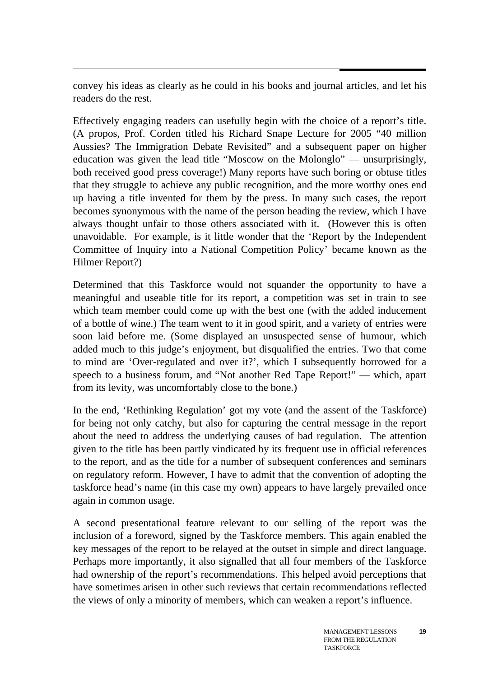convey his ideas as clearly as he could in his books and journal articles, and let his readers do the rest.

Effectively engaging readers can usefully begin with the choice of a report's title. (A propos, Prof. Corden titled his Richard Snape Lecture for 2005 "40 million Aussies? The Immigration Debate Revisited" and a subsequent paper on higher education was given the lead title "Moscow on the Molonglo" — unsurprisingly, both received good press coverage!) Many reports have such boring or obtuse titles that they struggle to achieve any public recognition, and the more worthy ones end up having a title invented for them by the press. In many such cases, the report becomes synonymous with the name of the person heading the review, which I have always thought unfair to those others associated with it. (However this is often unavoidable. For example, is it little wonder that the 'Report by the Independent Committee of Inquiry into a National Competition Policy' became known as the Hilmer Report?)

Determined that this Taskforce would not squander the opportunity to have a meaningful and useable title for its report, a competition was set in train to see which team member could come up with the best one (with the added inducement of a bottle of wine.) The team went to it in good spirit, and a variety of entries were soon laid before me. (Some displayed an unsuspected sense of humour, which added much to this judge's enjoyment, but disqualified the entries. Two that come to mind are 'Over-regulated and over it?', which I subsequently borrowed for a speech to a business forum, and "Not another Red Tape Report!" — which, apart from its levity, was uncomfortably close to the bone.)

In the end, 'Rethinking Regulation' got my vote (and the assent of the Taskforce) for being not only catchy, but also for capturing the central message in the report about the need to address the underlying causes of bad regulation. The attention given to the title has been partly vindicated by its frequent use in official references to the report, and as the title for a number of subsequent conferences and seminars on regulatory reform. However, I have to admit that the convention of adopting the taskforce head's name (in this case my own) appears to have largely prevailed once again in common usage.

A second presentational feature relevant to our selling of the report was the inclusion of a foreword, signed by the Taskforce members. This again enabled the key messages of the report to be relayed at the outset in simple and direct language. Perhaps more importantly, it also signalled that all four members of the Taskforce had ownership of the report's recommendations. This helped avoid perceptions that have sometimes arisen in other such reviews that certain recommendations reflected the views of only a minority of members, which can weaken a report's influence.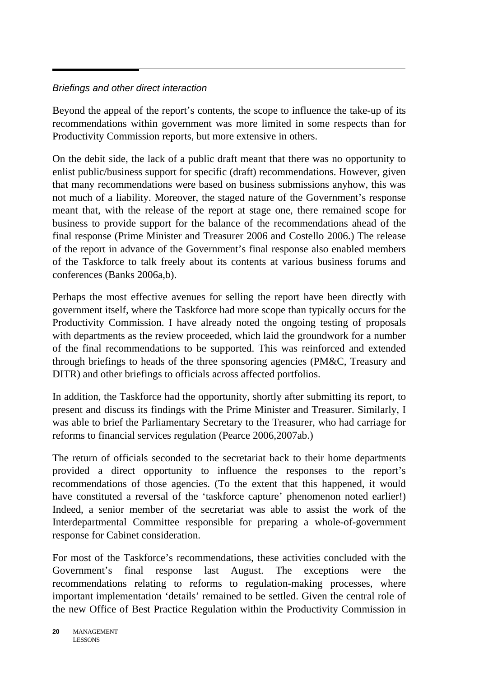## *Briefings and other direct interaction*

Beyond the appeal of the report's contents, the scope to influence the take-up of its recommendations within government was more limited in some respects than for Productivity Commission reports, but more extensive in others.

On the debit side, the lack of a public draft meant that there was no opportunity to enlist public/business support for specific (draft) recommendations. However, given that many recommendations were based on business submissions anyhow, this was not much of a liability. Moreover, the staged nature of the Government's response meant that, with the release of the report at stage one, there remained scope for business to provide support for the balance of the recommendations ahead of the final response (Prime Minister and Treasurer 2006 and Costello 2006.) The release of the report in advance of the Government's final response also enabled members of the Taskforce to talk freely about its contents at various business forums and conferences (Banks 2006a,b).

Perhaps the most effective avenues for selling the report have been directly with government itself, where the Taskforce had more scope than typically occurs for the Productivity Commission. I have already noted the ongoing testing of proposals with departments as the review proceeded, which laid the groundwork for a number of the final recommendations to be supported. This was reinforced and extended through briefings to heads of the three sponsoring agencies (PM&C, Treasury and DITR) and other briefings to officials across affected portfolios.

In addition, the Taskforce had the opportunity, shortly after submitting its report, to present and discuss its findings with the Prime Minister and Treasurer. Similarly, I was able to brief the Parliamentary Secretary to the Treasurer, who had carriage for reforms to financial services regulation (Pearce 2006,2007ab.)

The return of officials seconded to the secretariat back to their home departments provided a direct opportunity to influence the responses to the report's recommendations of those agencies. (To the extent that this happened, it would have constituted a reversal of the 'taskforce capture' phenomenon noted earlier!) Indeed, a senior member of the secretariat was able to assist the work of the Interdepartmental Committee responsible for preparing a whole-of-government response for Cabinet consideration.

For most of the Taskforce's recommendations, these activities concluded with the Government's final response last August. The exceptions were the recommendations relating to reforms to regulation-making processes, where important implementation 'details' remained to be settled. Given the central role of the new Office of Best Practice Regulation within the Productivity Commission in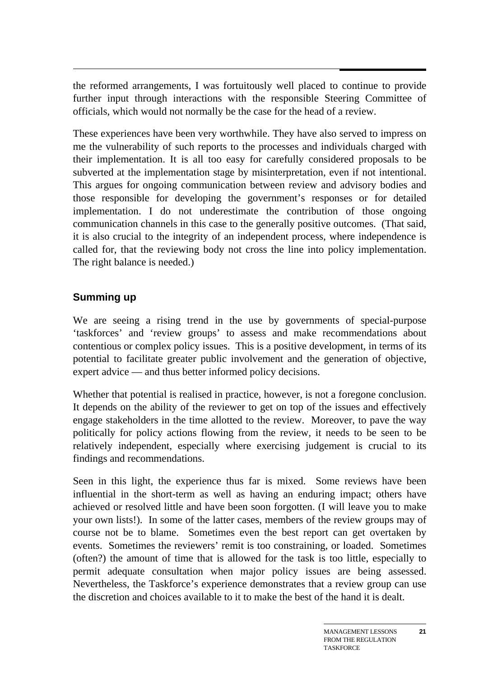the reformed arrangements, I was fortuitously well placed to continue to provide further input through interactions with the responsible Steering Committee of officials, which would not normally be the case for the head of a review.

These experiences have been very worthwhile. They have also served to impress on me the vulnerability of such reports to the processes and individuals charged with their implementation. It is all too easy for carefully considered proposals to be subverted at the implementation stage by misinterpretation, even if not intentional. This argues for ongoing communication between review and advisory bodies and those responsible for developing the government's responses or for detailed implementation. I do not underestimate the contribution of those ongoing communication channels in this case to the generally positive outcomes. (That said, it is also crucial to the integrity of an independent process, where independence is called for, that the reviewing body not cross the line into policy implementation. The right balance is needed.)

## **Summing up**

We are seeing a rising trend in the use by governments of special-purpose 'taskforces' and 'review groups' to assess and make recommendations about contentious or complex policy issues. This is a positive development, in terms of its potential to facilitate greater public involvement and the generation of objective, expert advice — and thus better informed policy decisions.

Whether that potential is realised in practice, however, is not a foregone conclusion. It depends on the ability of the reviewer to get on top of the issues and effectively engage stakeholders in the time allotted to the review. Moreover, to pave the way politically for policy actions flowing from the review, it needs to be seen to be relatively independent, especially where exercising judgement is crucial to its findings and recommendations.

Seen in this light, the experience thus far is mixed. Some reviews have been influential in the short-term as well as having an enduring impact; others have achieved or resolved little and have been soon forgotten. (I will leave you to make your own lists!). In some of the latter cases, members of the review groups may of course not be to blame. Sometimes even the best report can get overtaken by events. Sometimes the reviewers' remit is too constraining, or loaded. Sometimes (often?) the amount of time that is allowed for the task is too little, especially to permit adequate consultation when major policy issues are being assessed. Nevertheless, the Taskforce's experience demonstrates that a review group can use the discretion and choices available to it to make the best of the hand it is dealt.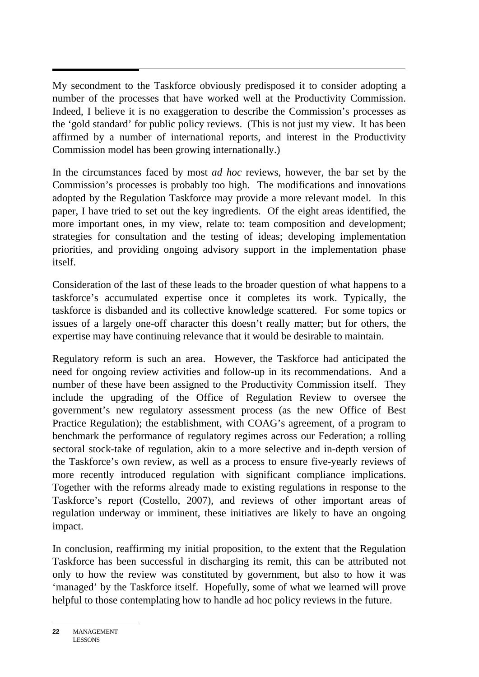$\overline{a}$ My secondment to the Taskforce obviously predisposed it to consider adopting a number of the processes that have worked well at the Productivity Commission. Indeed, I believe it is no exaggeration to describe the Commission's processes as the 'gold standard' for public policy reviews. (This is not just my view. It has been affirmed by a number of international reports, and interest in the Productivity Commission model has been growing internationally.)

In the circumstances faced by most *ad hoc* reviews, however, the bar set by the Commission's processes is probably too high. The modifications and innovations adopted by the Regulation Taskforce may provide a more relevant model. In this paper, I have tried to set out the key ingredients. Of the eight areas identified, the more important ones, in my view, relate to: team composition and development; strategies for consultation and the testing of ideas; developing implementation priorities, and providing ongoing advisory support in the implementation phase itself.

Consideration of the last of these leads to the broader question of what happens to a taskforce's accumulated expertise once it completes its work. Typically, the taskforce is disbanded and its collective knowledge scattered. For some topics or issues of a largely one-off character this doesn't really matter; but for others, the expertise may have continuing relevance that it would be desirable to maintain.

Regulatory reform is such an area. However, the Taskforce had anticipated the need for ongoing review activities and follow-up in its recommendations. And a number of these have been assigned to the Productivity Commission itself. They include the upgrading of the Office of Regulation Review to oversee the government's new regulatory assessment process (as the new Office of Best Practice Regulation); the establishment, with COAG's agreement, of a program to benchmark the performance of regulatory regimes across our Federation; a rolling sectoral stock-take of regulation, akin to a more selective and in-depth version of the Taskforce's own review, as well as a process to ensure five-yearly reviews of more recently introduced regulation with significant compliance implications. Together with the reforms already made to existing regulations in response to the Taskforce's report (Costello, 2007), and reviews of other important areas of regulation underway or imminent, these initiatives are likely to have an ongoing impact.

In conclusion, reaffirming my initial proposition, to the extent that the Regulation Taskforce has been successful in discharging its remit, this can be attributed not only to how the review was constituted by government, but also to how it was 'managed' by the Taskforce itself. Hopefully, some of what we learned will prove helpful to those contemplating how to handle ad hoc policy reviews in the future.

**<sup>22</sup>** MANAGEMENT LESSONS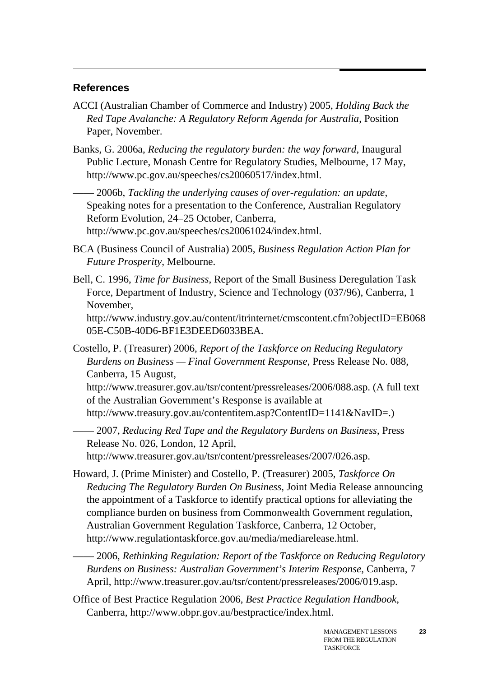#### **References**

- ACCI (Australian Chamber of Commerce and Industry) 2005, *Holding Back the Red Tape Avalanche: A Regulatory Reform Agenda for Australia*, Position Paper, November.
- Banks, G. 2006a, *Reducing the regulatory burden: the way forward*, Inaugural Public Lecture, Monash Centre for Regulatory Studies, Melbourne, 17 May, http://www.pc.gov.au/speeches/cs20060517/index.html.

—— 2006b, *Tackling the underlying causes of over-regulation: an update*, Speaking notes for a presentation to the Conference, Australian Regulatory Reform Evolution, 24–25 October, Canberra, http://www.pc.gov.au/speeches/cs20061024/index.html.

- BCA (Business Council of Australia) 2005, *Business Regulation Action Plan for Future Prosperity*, Melbourne.
- Bell, C. 1996, *Time for Business*, Report of the Small Business Deregulation Task Force, Department of Industry, Science and Technology (037/96), Canberra, 1 November,

http://www.industry.gov.au/content/itrinternet/cmscontent.cfm?objectID=EB068 05E-C50B-40D6-BF1E3DEED6033BEA.

Costello, P. (Treasurer) 2006, *Report of the Taskforce on Reducing Regulatory Burdens on Business — Final Government Response*, Press Release No. 088, Canberra, 15 August,

http://www.treasurer.gov.au/tsr/content/pressreleases/2006/088.asp. (A full text of the Australian Government's Response is available at http://www.treasury.gov.au/contentitem.asp?ContentID=1141&NavID=.)

—— 2007, *Reducing Red Tape and the Regulatory Burdens on Business*, Press Release No. 026, London, 12 April, http://www.treasurer.gov.au/tsr/content/pressreleases/2007/026.asp.

- Howard, J. (Prime Minister) and Costello, P. (Treasurer) 2005, *Taskforce On Reducing The Regulatory Burden On Business*, Joint Media Release announcing the appointment of a Taskforce to identify practical options for alleviating the compliance burden on business from Commonwealth Government regulation, Australian Government Regulation Taskforce, Canberra, 12 October, http://www.regulationtaskforce.gov.au/media/mediarelease.html.
- —— 2006, *Rethinking Regulation: Report of the Taskforce on Reducing Regulatory Burdens on Business: Australian Government's Interim Response*, Canberra, 7 April, http://www.treasurer.gov.au/tsr/content/pressreleases/2006/019.asp.

Office of Best Practice Regulation 2006, *Best Practice Regulation Handbook*, Canberra, http://www.obpr.gov.au/bestpractice/index.html.